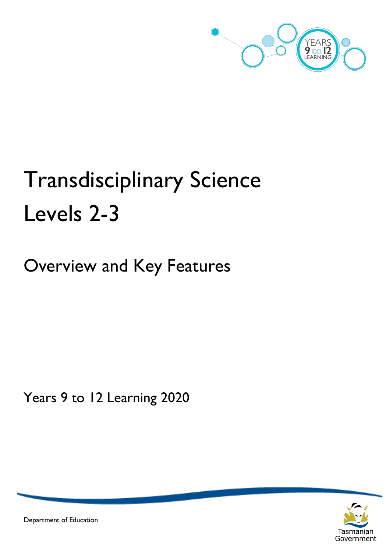

# Transdisciplinary Science Levels 2-3

Overview and Key Features

Years 9 to 12 Learning 2020



Department of Education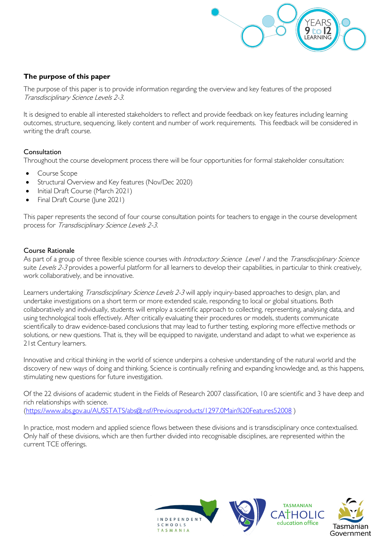

# **The purpose of this paper**

The purpose of this paper is to provide information regarding the overview and key features of the proposed Transdisciplinary Science Levels 2-3.

It is designed to enable all interested stakeholders to reflect and provide feedback on key features including learning outcomes, structure, sequencing, likely content and number of work requirements. This feedback will be considered in writing the draft course.

# **Consultation**

Throughout the course development process there will be four opportunities for formal stakeholder consultation:

- Course Scope
- Structural Overview and Key features (Nov/Dec 2020)
- Initial Draft Course (March 2021)
- Final Draft Course (June 2021)

This paper represents the second of four course consultation points for teachers to engage in the course development process for Transdisciplinary Science Levels 2-3.

#### Course Rationale

As part of a group of three flexible science courses with Introductory Science Level I and the Transdisciplinary Science suite Levels 2-3 provides a powerful platform for all learners to develop their capabilities, in particular to think creatively, work collaboratively, and be innovative.

Learners undertaking Transdisciplinary Science Levels 2-3 will apply inquiry-based approaches to design, plan, and undertake investigations on a short term or more extended scale, responding to local or global situations. Both collaboratively and individually, students will employ a scientific approach to collecting, representing, analysing data, and using technological tools effectively. After critically evaluating their procedures or models, students communicate scientifically to draw evidence-based conclusions that may lead to further testing, exploring more effective methods or solutions, or new questions. That is, they will be equipped to navigate, understand and adapt to what we experience as 21st Century learners.

Innovative and critical thinking in the world of science underpins a cohesive understanding of the natural world and the discovery of new ways of doing and thinking. Science is continually refining and expanding knowledge and, as this happens, stimulating new questions for future investigation.

Of the 22 divisions of academic student in the Fields of Research 2007 classification, 10 are scientific and 3 have deep and rich relationships with science. [\(https://www.abs.gov.au/AUSSTATS/abs@.nsf/Previousproducts/1297.0Main%20Features52008](https://www.abs.gov.au/AUSSTATS/abs@.nsf/Previousproducts/1297.0Main%20Features52008) )

In practice, most modern and applied science flows between these divisions and is transdisciplinary once contextualised. Only half of these divisions, which are then further divided into recognisable disciplines, are represented within the current TCE offerings.

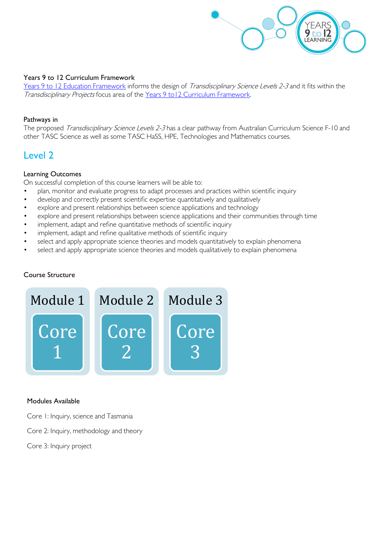

#### Years 9 to 12 Curriculum Framework

[Years 9 to 12 Education Framework](https://publicdocumentcentre.education.tas.gov.au/library/Shared%20Documents/Years-9-to-12-Education-Framework.pdf) informs the design of Transdisciplinary Science Levels 2-3 and it fits within the Transdisciplinary Projects focus area of the Years 9 to 12 Curriculum Framework.

#### Pathways in

The proposed Transdisciplinary Science Levels 2-3 has a clear pathway from Australian Curriculum Science F-10 and other TASC Science as well as some TASC HaSS, HPE, Technologies and Mathematics courses.

# Level 2

#### Learning Outcomes

On successful completion of this course learners will be able to:

- plan, monitor and evaluate progress to adapt processes and practices within scientific inquiry
- develop and correctly present scientific expertise quantitatively and qualitatively
- explore and present relationships between science applications and technology
- explore and present relationships between science applications and their communities through time
- implement, adapt and refine quantitative methods of scientific inquiry
- implement, adapt and refine qualitative methods of scientific inquiry
- select and apply appropriate science theories and models quantitatively to explain phenomena
- select and apply appropriate science theories and models qualitatively to explain phenomena

# Course Structure



#### Modules Available

- Core 1: Inquiry, science and Tasmania
- Core 2: Inquiry, methodology and theory
- Core 3: Inquiry project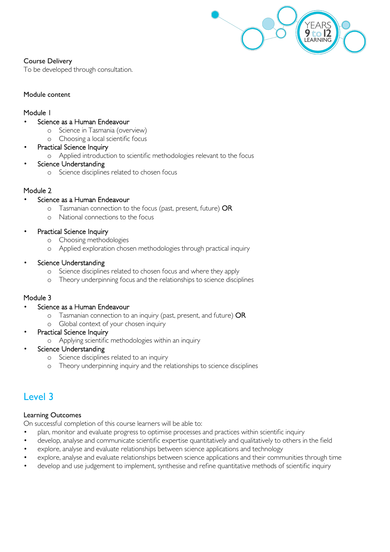

# Course Delivery

To be developed through consultation.

# Module content

# Module 1

# Science as a Human Endeavour

- o Science in Tasmania (overview)
- o Choosing a local scientific focus

# Practical Science Inquiry

o Applied introduction to scientific methodologies relevant to the focus

# Science Understanding

o Science disciplines related to chosen focus

# Module 2

# Science as a Human Endeavour

- o Tasmanian connection to the focus (past, present, future) OR
- o National connections to the focus

# • Practical Science Inquiry

- o Choosing methodologies
- o Applied exploration chosen methodologies through practical inquiry

# Science Understanding

- o Science disciplines related to chosen focus and where they apply
- o Theory underpinning focus and the relationships to science disciplines

# Module 3

# Science as a Human Endeavour

- o Tasmanian connection to an inquiry (past, present, and future) OR
- o Global context of your chosen inquiry
- Practical Science Inquiry
	- o Applying scientific methodologies within an inquiry

# Science Understanding

- o Science disciplines related to an inquiry
- o Theory underpinning inquiry and the relationships to science disciplines

# Level 3

# Learning Outcomes

On successful completion of this course learners will be able to:

- plan, monitor and evaluate progress to optimise processes and practices within scientific inquiry
- develop, analyse and communicate scientific expertise quantitatively and qualitatively to others in the field
- explore, analyse and evaluate relationships between science applications and technology
- explore, analyse and evaluate relationships between science applications and their communities through time
- develop and use judgement to implement, synthesise and refine quantitative methods of scientific inquiry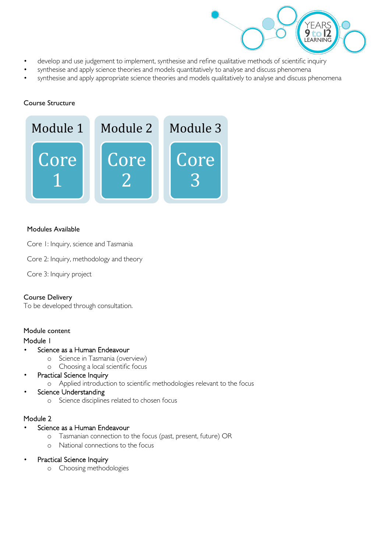

- develop and use judgement to implement, synthesise and refine qualitative methods of scientific inquiry
- synthesise and apply science theories and models quantitatively to analyse and discuss phenomena
- synthesise and apply appropriate science theories and models qualitatively to analyse and discuss phenomena

#### Course Structure



#### Modules Available

- Core 1: Inquiry, science and Tasmania
- Core 2: Inquiry, methodology and theory
- Core 3: Inquiry project

# Course Delivery

To be developed through consultation.

#### Module content

#### Module 1

- Science as a Human Endeavour
	- o Science in Tasmania (overview)
	- o Choosing a local scientific focus
- Practical Science Inquiry
	- o Applied introduction to scientific methodologies relevant to the focus

# Science Understanding

o Science disciplines related to chosen focus

# Module 2

- Science as a Human Endeavour
	- o Tasmanian connection to the focus (past, present, future) OR
	- o National connections to the focus
- Practical Science Inquiry
	- o Choosing methodologies